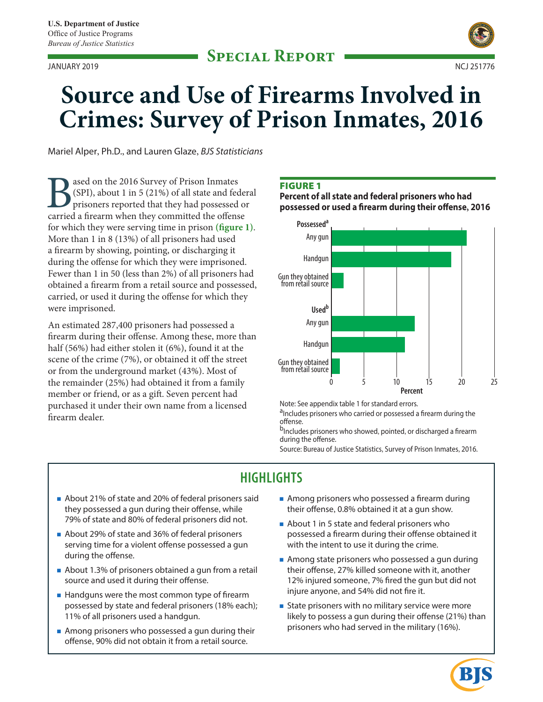**Special Report** JANUARY 2019 NCJ 251776



# **Source and Use of Firearms Involved in Crimes: Survey of Prison Inmates, 2016**

Mariel Alper, Ph.D., and Lauren Glaze, *BJS Statisticians*

**B**<br>(SPI), about 1 in 5 (21%) of all state and fed<br>prisoners reported that they had possessed<br>carried a firearm when they committed the offens (SPI), about 1 in 5 (21%) of all state and federal prisoners reported that they had possessed or carried a firearm when they committed the offense for which they were serving time in prison **(figure 1)**. More than 1 in 8 (13%) of all prisoners had used a firearm by showing, pointing, or discharging it during the offense for which they were imprisoned. Fewer than 1 in 50 (less than 2%) of all prisoners had obtained a firearm from a retail source and possessed, carried, or used it during the offense for which they were imprisoned.

An estimated 287,400 prisoners had possessed a firearm during their offense. Among these, more than half (56%) had either stolen it (6%), found it at the scene of the crime (7%), or obtained it off the street or from the underground market (43%). Most of the remainder (25%) had obtained it from a family member or friend, or as a gift. Seven percent had purchased it under their own name from a licensed firearm dealer.

#### **FIGURE 1**

**Percent of all state and federal prisoners who had possessed or used a firearm during their offense, 2016**



Note: See appendix table 1 for standard errors.

aIncludes prisoners who carried or possessed a firearm during the offense.

<sup>b</sup>Includes prisoners who showed, pointed, or discharged a firearm during the offense.

Source: Bureau of Justice Statistics, Survey of Prison Inmates, 2016.

# **HIGHLIGHTS**

- About 21% of state and 20% of federal prisoners said they possessed a gun during their offense, while 79% of state and 80% of federal prisoners did not.
- About 29% of state and 36% of federal prisoners serving time for a violent offense possessed a gun during the offense.
- About 1.3% of prisoners obtained a gun from a retail source and used it during their offense.
- Handguns were the most common type of firearm possessed by state and federal prisoners (18% each); 11% of all prisoners used a handgun.
- Among prisoners who possessed a gun during their offense, 90% did not obtain it from a retail source.
- Among prisoners who possessed a firearm during their offense, 0.8% obtained it at a gun show.
- About 1 in 5 state and federal prisoners who possessed a firearm during their offense obtained it with the intent to use it during the crime.
- **Among state prisoners who possessed a gun during** their offense, 27% killed someone with it, another 12% injured someone, 7% fired the gun but did not injure anyone, and 54% did not fire it.
- **State prisoners with no military service were more** likely to possess a gun during their offense (21%) than prisoners who had served in the military (16%).

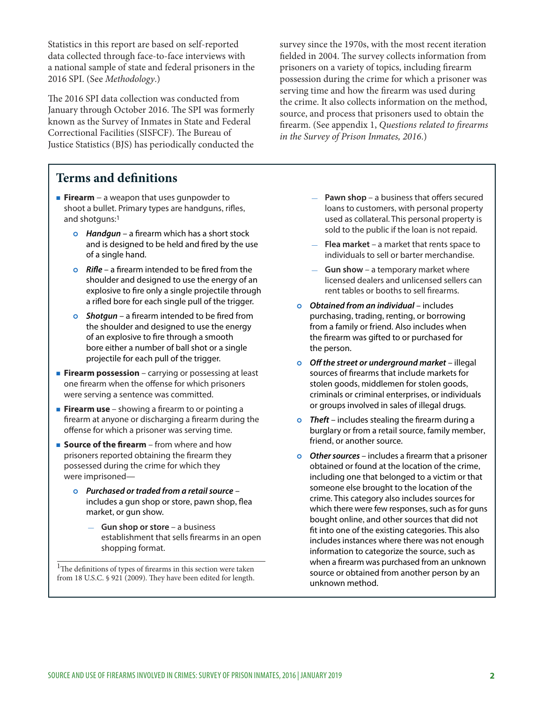Statistics in this report are based on self-reported data collected through face-to-face interviews with a national sample of state and federal prisoners in the 2016 SPI. (See *Methodology*.)

The 2016 SPI data collection was conducted from January through October 2016. The SPI was formerly known as the Survey of Inmates in State and Federal Correctional Facilities (SISFCF). The Bureau of Justice Statistics (BJS) has periodically conducted the

# **Terms and definitions**

- **Firearm** a weapon that uses gunpowder to shoot a bullet. Primary types are handguns, rifles, and shotguns:1
	- **o** Handgun a firearm which has a short stock and is designed to be held and fired by the use of a single hand.
	- *o* Rifle a firearm intended to be fired from the shoulder and designed to use the energy of an explosive to fire only a single projectile through a rifled bore for each single pull of the trigger.
	- **o** Shotgun a firearm intended to be fired from the shoulder and designed to use the energy of an explosive to fire through a smooth bore either a number of ball shot or a single projectile for each pull of the trigger.
- **Firearm possession** carrying or possessing at least one firearm when the offense for which prisoners were serving a sentence was committed.
- **Firearm use** showing a firearm to or pointing a firearm at anyone or discharging a firearm during the offense for which a prisoner was serving time.
- **Source of the firearm** from where and how prisoners reported obtaining the firearm they possessed during the crime for which they were imprisoned—
	- <sup>|</sup> *Purchased or traded from a retail source* includes a gun shop or store, pawn shop, flea market, or gun show.
		- **Gun shop or store** a business establishment that sells firearms in an open shopping format.

 $\rm ^1$  The definitions of types of firearms in this section were taken from 18 U.S.C. § 921 (2009). They have been edited for length. survey since the 1970s, with the most recent iteration fielded in 2004. The survey collects information from prisoners on a variety of topics, including firearm possession during the crime for which a prisoner was serving time and how the firearm was used during the crime. It also collects information on the method, source, and process that prisoners used to obtain the firearm. (See appendix 1, *Questions related to firearms in the Survey of Prison Inmates, 2016*.)

- **Pawn shop** a business that offers secured loans to customers, with personal property used as collateral. This personal property is sold to the public if the loan is not repaid.
- **Flea market** a market that rents space to individuals to sell or barter merchandise.
- **Gun show** a temporary market where licensed dealers and unlicensed sellers can rent tables or booths to sell firearms.
- <sup>|</sup> *Obtained from an individual* includes purchasing, trading, renting, or borrowing from a family or friend. Also includes when the firearm was gifted to or purchased for the person.
- <sup>|</sup> *Off the street or underground market* illegal sources of firearms that include markets for stolen goods, middlemen for stolen goods, criminals or criminal enterprises, or individuals or groups involved in sales of illegal drugs.
- **o** Theft includes stealing the firearm during a burglary or from a retail source, family member, friend, or another source.
- **o** Other sources includes a firearm that a prisoner obtained or found at the location of the crime, including one that belonged to a victim or that someone else brought to the location of the crime. This category also includes sources for which there were few responses, such as for guns bought online, and other sources that did not fit into one of the existing categories. This also includes instances where there was not enough information to categorize the source, such as when a firearm was purchased from an unknown source or obtained from another person by an unknown method.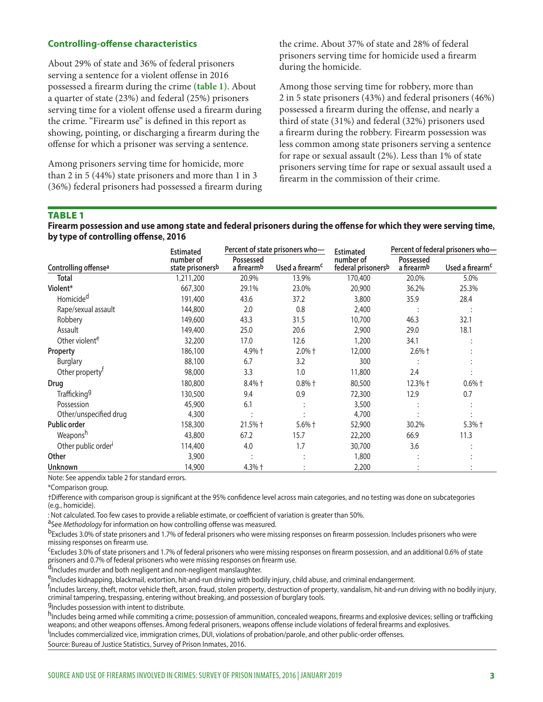# **Controlling-offense characteristics**

About 29% of state and 36% of federal prisoners serving a sentence for a violent offense in 2016 possessed a firearm during the crime **(table 1)**. About a quarter of state (23%) and federal (25%) prisoners serving time for a violent offense used a firearm during the crime. "Firearm use" is defined in this report as showing, pointing, or discharging a firearm during the offense for which a prisoner was serving a sentence.

Among prisoners serving time for homicide, more than 2 in 5 (44%) state prisoners and more than 1 in 3 (36%) federal prisoners had possessed a firearm during the crime. About 37% of state and 28% of federal prisoners serving time for homicide used a firearm during the homicide.

Among those serving time for robbery, more than 2 in 5 state prisoners (43%) and federal prisoners (46%) possessed a firearm during the offense, and nearly a third of state (31%) and federal (32%) prisoners used a firearm during the robbery. Firearm possession was less common among state prisoners serving a sentence for rape or sexual assault (2%). Less than 1% of state prisoners serving time for rape or sexual assault used a firearm in the commission of their crime.

#### TABLE 1

**Firearm possession and use among state and federal prisoners during the offense for which they were serving time, by type of controlling offense, 2016**

|                                  | <b>Estimated</b>              |                         | Percent of state prisoners who- | <b>Estimated</b>                | Percent of federal prisoners who- |                             |
|----------------------------------|-------------------------------|-------------------------|---------------------------------|---------------------------------|-----------------------------------|-----------------------------|
| Controlling offense <sup>a</sup> | number of<br>state prisonersb | Possessed<br>a firearmb | Used a firearm <sup>c</sup>     | number of<br>federal prisonersb | Possessed<br>a firearmb           | Used a firearm <sup>c</sup> |
| <b>Total</b>                     | 1,211,200                     | 20.9%                   | 13.9%                           | 170,400                         | 20.0%                             | 5.0%                        |
| Violent*                         | 667,300                       | 29.1%                   | 23.0%                           | 20,900                          | 36.2%                             | 25.3%                       |
| Homicide <sup>d</sup>            | 191,400                       | 43.6                    | 37.2                            | 3,800                           | 35.9                              | 28.4                        |
| Rape/sexual assault              | 144,800                       | 2.0                     | 0.8                             | 2,400                           |                                   |                             |
| Robbery                          | 149,600                       | 43.3                    | 31.5                            | 10,700                          | 46.3                              | 32.1                        |
| Assault                          | 149,400                       | 25.0                    | 20.6                            | 2,900                           | 29.0                              | 18.1                        |
| Other violent <sup>e</sup>       | 32,200                        | 17.0                    | 12.6                            | 1,200                           | 34.1                              |                             |
| Property                         | 186,100                       | 4.9% +                  | $2.0\%$ †                       | 12,000                          | $2.6%$ †                          |                             |
| <b>Burglary</b>                  | 88,100                        | 6.7                     | 3.2                             | 300                             |                                   |                             |
| Other property <sup>r</sup>      | 98,000                        | 3.3                     | 1.0                             | 11,800                          | 2.4                               |                             |
| Drug                             | 180,800                       | 8.4% +                  | $0.8%$ $\dagger$                | 80,500                          | 12.3% +                           | $0.6\%$ †                   |
| Trafficking <sup>9</sup>         | 130,500                       | 9.4                     | 0.9                             | 72,300                          | 12.9                              | 0.7                         |
| Possession                       | 45,900                        | 6.1                     |                                 | 3,500                           |                                   |                             |
| Other/unspecified drug           | 4,300                         |                         |                                 | 4,700                           |                                   |                             |
| <b>Public order</b>              | 158,300                       | 21.5% +                 | $5.6%$ †                        | 52,900                          | 30.2%                             | 5.3% +                      |
| Weaponsh                         | 43,800                        | 67.2                    | 15.7                            | 22,200                          | 66.9                              | 11.3                        |
| Other public order <sup>1</sup>  | 114,400                       | 4.0                     | 1.7                             | 30,700                          | 3.6                               |                             |
| Other                            | 3,900                         |                         |                                 | 1,800                           |                                   |                             |
| Unknown                          | 14,900                        | $4.3%$ $\dagger$        |                                 | 2,200                           |                                   |                             |

Note: See appendix table 2 for standard errors.

\*Comparison group.

†Difference with comparison group is significant at the 95% confidence level across main categories, and no testing was done on subcategories (e.g., homicide).

: Not calculated. Too few cases to provide a reliable estimate, or coefficient of variation is greater than 50%.<br><sup>a</sup>See *Methodology* for information on how controlling offense was measured.<br><sup>b</sup>Excludes 3.0% of state priso missing responses on firearm use.

cExcludes 3.0% of state prisoners and 1.7% of federal prisoners who were missing responses on firearm possession, and an additional 0.6% of state prisoners and 0.7% of federal prisoners who were missing responses on firearm use.

dIncludes murder and both negligent and non-negligent manslaughter.

eIncludes kidnapping, blackmail, extortion, hit-and-run driving with bodily injury, child abuse, and criminal endangerment.

<sup>f</sup>Includes larceny, theft, motor vehicle theft, arson, fraud, stolen property, destruction of property, vandalism, hit-and-run driving with no bodily injury, criminal tampering, trespassing, entering without breaking, and possession of burglary tools.

<sup>g</sup>Includes possession with intent to distribute.

h<sub>Includes being armed while commiting a crime; possession of ammunition, concealed weapons, firearms and explosive devices; selling or trafficking</sub> weapons; and other weapons offenses. Among federal prisoners, weapons offense include violations of federal firearms and explosives. <sup>i</sup>

Includes commercialized vice, immigration crimes, DUI, violations of probation/parole, and other public-order offenses. Source: Bureau of Justice Statistics, Survey of Prison Inmates, 2016.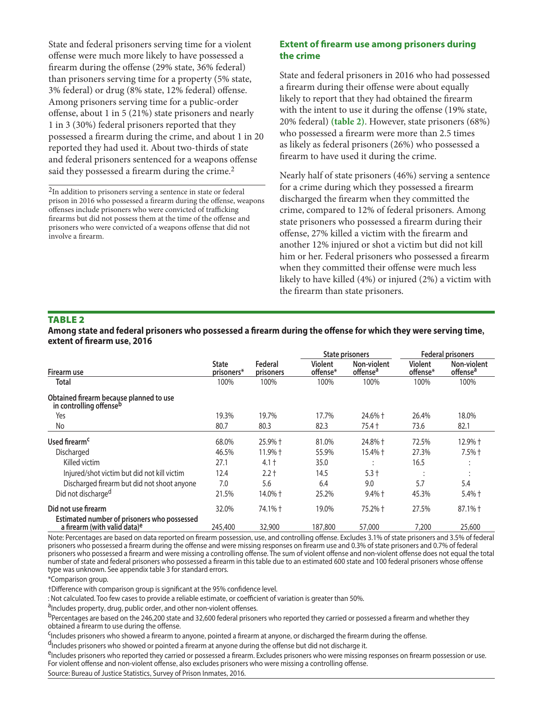State and federal prisoners serving time for a violent offense were much more likely to have possessed a firearm during the offense (29% state, 36% federal) than prisoners serving time for a property (5% state, 3% federal) or drug (8% state, 12% federal) offense. Among prisoners serving time for a public-order offense, about 1 in 5 (21%) state prisoners and nearly 1 in 3 (30%) federal prisoners reported that they possessed a firearm during the crime, and about 1 in 20 reported they had used it. About two-thirds of state and federal prisoners sentenced for a weapons offense said they possessed a firearm during the crime.<sup>2</sup>

<sup>2</sup>In addition to prisoners serving a sentence in state or federal prison in 2016 who possessed a firearm during the offense, weapons offenses include prisoners who were convicted of trafficking firearms but did not possess them at the time of the offense and prisoners who were convicted of a weapons offense that did not involve a firearm.

# **Extent of firearm use among prisoners during the crime**

State and federal prisoners in 2016 who had possessed a firearm during their offense were about equally likely to report that they had obtained the firearm with the intent to use it during the offense (19% state, 20% federal) **(table 2)**. However, state prisoners (68%) who possessed a firearm were more than 2.5 times as likely as federal prisoners (26%) who possessed a firearm to have used it during the crime.

Nearly half of state prisoners (46%) serving a sentence for a crime during which they possessed a firearm discharged the firearm when they committed the crime, compared to 12% of federal prisoners. Among state prisoners who possessed a firearm during their offense, 27% killed a victim with the firearm and another 12% injured or shot a victim but did not kill him or her. Federal prisoners who possessed a firearm when they committed their offense were much less likely to have killed (4%) or injured (2%) a victim with the firearm than state prisoners.

# TABLE 2

#### **Among state and federal prisoners who possessed a firearm during the offense for which they were serving time, extent of firearm use, 2016**

|                                                                                         |                            | Federal<br>prisoners | <b>State prisoners</b>     |                                     | <b>Federal prisoners</b>   |                                     |
|-----------------------------------------------------------------------------------------|----------------------------|----------------------|----------------------------|-------------------------------------|----------------------------|-------------------------------------|
| Firearm use                                                                             | <b>State</b><br>prisoners* |                      | <b>Violent</b><br>offense* | Non-violent<br>offense <sup>a</sup> | <b>Violent</b><br>offense* | Non-violent<br>offense <sup>a</sup> |
| Total                                                                                   | 100%                       | 100%                 | 100%                       | 100%                                | 100%                       | 100%                                |
| Obtained firearm because planned to use<br>in controlling offenseb                      |                            |                      |                            |                                     |                            |                                     |
| Yes                                                                                     | 19.3%                      | 19.7%                | 17.7%                      | 24.6% +                             | 26.4%                      | 18.0%                               |
| No                                                                                      | 80.7                       | 80.3                 | 82.3                       | 75.4 †                              | 73.6                       | 82.1                                |
| Used firearm <sup>c</sup>                                                               | 68.0%                      | 25.9% +              | 81.0%                      | 24.8% +                             | 72.5%                      | 12.9% +                             |
| Discharged                                                                              | 46.5%                      | $11.9%$ $\dagger$    | 55.9%                      | 15.4% +                             | 27.3%                      | $7.5%$ †                            |
| Killed victim                                                                           | 27.1                       | $4.1 +$              | 35.0                       |                                     | 16.5                       | $\ddot{\phantom{a}}$                |
| Injured/shot victim but did not kill victim                                             | 12.4                       | $2.2 +$              | 14.5                       | $5.3 +$                             |                            | $\ddot{\phantom{a}}$                |
| Discharged firearm but did not shoot anyone                                             | 7.0                        | 5.6                  | 6.4                        | 9.0                                 | 5.7                        | 5.4                                 |
| Did not discharged                                                                      | 21.5%                      | 14.0% +              | 25.2%                      | $9.4\% +$                           | 45.3%                      | $5.4\%$ †                           |
| Did not use firearm                                                                     | 32.0%                      | 74.1% +              | 19.0%                      | 75.2% +                             | 27.5%                      | $87.1%$ †                           |
| Estimated number of prisoners who possessed<br>a firearm (with valid data) <sup>e</sup> | 245,400                    | 32,900               | 187,800                    | 57,000                              | 7,200                      | 25,600                              |

Note: Percentages are based on data reported on firearm possession, use, and controlling offense. Excludes 3.1% of state prisoners and 3.5% of federal prisoners who possessed a firearm during the offense and were missing responses on firearm use and 0.3% of state prisoners and 0.7% of federal prisoners who possessed a firearm and were missing a controlling offense. The sum of violent offense and non-violent offense does not equal the total number of state and federal prisoners who possessed a firearm in this table due to an estimated 600 state and 100 federal prisoners whose offense type was unknown. See appendix table 3 for standard errors.

\*Comparison group.

†Difference with comparison group is significant at the 95% confidence level.

: Not calculated. Too few cases to provide a reliable estimate, or coefficient of variation is greater than 50%.<br><sup>a</sup>Includes property, drug, public order, and other non-violent offenses.

b<sub>Percentages</sub> are based on the 246,200 state and 32,600 federal prisoners who reported they carried or possessed a firearm and whether they obtained a firearm to use during the offense.

<sup>C</sup>Includes prisoners who showed a firearm to anyone, pointed a firearm at anyone, or discharged the firearm during the offense.<br><sup>d</sup>Includes prisoners who showed or pointed a firearm at anyone during the offense but did no

<sup>e</sup>Includes prisoners who reported they carried or possessed a firearm. Excludes prisoners who were missing responses on firearm possession or use. For violent offense and non-violent offense, also excludes prisoners who were missing a controlling offense.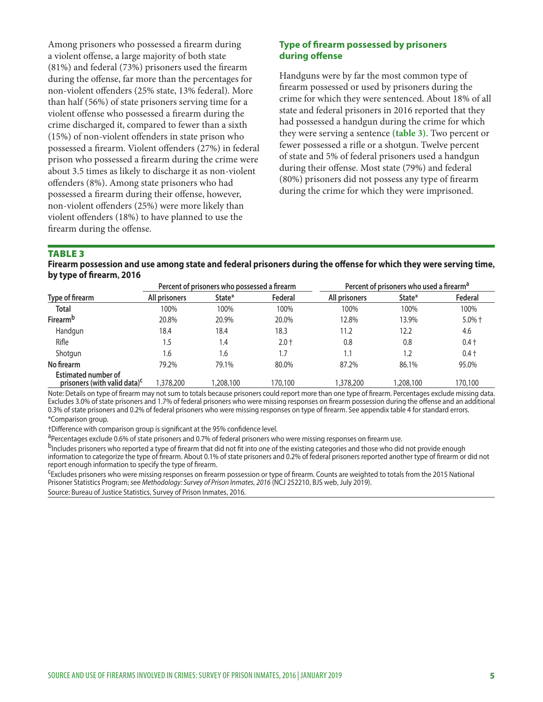Among prisoners who possessed a firearm during a violent offense, a large majority of both state (81%) and federal (73%) prisoners used the firearm during the offense, far more than the percentages for non-violent offenders (25% state, 13% federal). More than half (56%) of state prisoners serving time for a violent offense who possessed a firearm during the crime discharged it, compared to fewer than a sixth (15%) of non-violent offenders in state prison who possessed a firearm. Violent offenders (27%) in federal prison who possessed a firearm during the crime were about 3.5 times as likely to discharge it as non-violent offenders (8%). Among state prisoners who had possessed a firearm during their offense, however, non-violent offenders (25%) were more likely than violent offenders (18%) to have planned to use the firearm during the offense.

### **Type of firearm possessed by prisoners during offense**

Handguns were by far the most common type of firearm possessed or used by prisoners during the crime for which they were sentenced. About 18% of all state and federal prisoners in 2016 reported that they had possessed a handgun during the crime for which they were serving a sentence **(table 3)**. Two percent or fewer possessed a rifle or a shotgun. Twelve percent of state and 5% of federal prisoners used a handgun during their offense. Most state (79%) and federal (80%) prisoners did not possess any type of firearm during the crime for which they were imprisoned.

#### TABLE 3

**Firearm possession and use among state and federal prisoners during the offense for which they were serving time, by type of firearm, 2016**

|                                                                        | Percent of prisoners who possessed a firearm |           |         | Percent of prisoners who used a firearm <sup>a</sup> |           |           |
|------------------------------------------------------------------------|----------------------------------------------|-----------|---------|------------------------------------------------------|-----------|-----------|
| Type of firearm                                                        | All prisoners                                | State*    | Federal | All prisoners                                        | State*    | Federal   |
| <b>Total</b>                                                           | 100%                                         | 100%      | 100%    | 100%                                                 | 100%      | 100%      |
| <b>Firearm</b> <sup>b</sup>                                            | 20.8%                                        | 20.9%     | 20.0%   | 12.8%                                                | 13.9%     | $5.0\%$ † |
| Handgun                                                                | 18.4                                         | 18.4      | 18.3    | 11.2                                                 | 12.2      | 4.6       |
| Rifle                                                                  | . 5                                          | l.4       | $2.0 +$ | 0.8                                                  | 0.8       | $0.4 +$   |
| Shotgun                                                                | 6.،                                          | 1.6       | 1.7     | 1.1                                                  | 1.2       | $0.4 +$   |
| No firearm                                                             | 79.2%                                        | 79.1%     | 80.0%   | 87.2%                                                | 86.1%     | 95.0%     |
| <b>Estimated number of</b><br>prisoners (with valid data) <sup>c</sup> | ,378,200                                     | 1,208,100 | 170,100 | 1,378,200                                            | 1,208,100 | 170,100   |

Note: Details on type of firearm may not sum to totals because prisoners could report more than one type of firearm. Percentages exclude missing data. Excludes 3.0% of state prisoners and 1.7% of federal prisoners who were missing responses on firearm possession during the offense and an additional 0.3% of state prisoners and 0.2% of federal prisoners who were missing responses on type of firearm. See appendix table 4 for standard errors. \*Comparison group.

†Difference with comparison group is significant at the 95% confidence level.

aPercentages exclude 0.6% of state prisoners and 0.7% of federal prisoners who were missing responses on firearm use.

b<sub>Includes</sub> prisoners who reported a type of firearm that did not fit into one of the existing categories and those who did not provide enough information to categorize the type of firearm. About 0.1% of state prisoners and 0.2% of federal prisoners reported another type of firearm or did not report enough information to specify the type of firearm.

<sup>C</sup>Excludes prisoners who were missing responses on firearm possession or type of firearm. Counts are weighted to totals from the 2015 National Prisoner Statistics Program; see *Methodology: Survey of Prison Inmates, 2016* (NCJ 252210, BJS web, July 2019). Source: Bureau of Justice Statistics, Survey of Prison Inmates, 2016.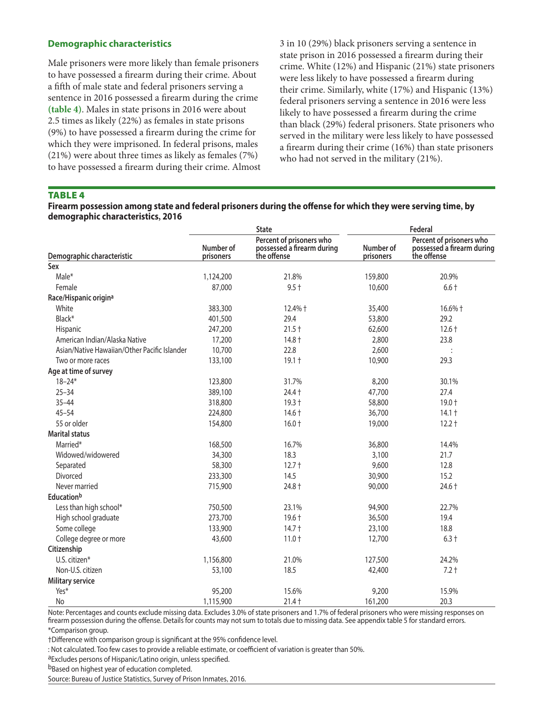## **Demographic characteristics**

Male prisoners were more likely than female prisoners to have possessed a firearm during their crime. About a fifth of male state and federal prisoners serving a sentence in 2016 possessed a firearm during the crime **(table 4)**. Males in state prisons in 2016 were about 2.5 times as likely (22%) as females in state prisons (9%) to have possessed a firearm during the crime for which they were imprisoned. In federal prisons, males (21%) were about three times as likely as females (7%) to have possessed a firearm during their crime. Almost 3 in 10 (29%) black prisoners serving a sentence in state prison in 2016 possessed a firearm during their crime. White (12%) and Hispanic (21%) state prisoners were less likely to have possessed a firearm during their crime. Similarly, white (17%) and Hispanic (13%) federal prisoners serving a sentence in 2016 were less likely to have possessed a firearm during the crime than black (29%) federal prisoners. State prisoners who served in the military were less likely to have possessed a firearm during their crime (16%) than state prisoners who had not served in the military (21%).

#### TABLE 4

#### **Firearm possession among state and federal prisoners during the offense for which they were serving time, by demographic characteristics, 2016**

|                                              |                        | <b>State</b>                                                          | Federal                |                                                                       |  |
|----------------------------------------------|------------------------|-----------------------------------------------------------------------|------------------------|-----------------------------------------------------------------------|--|
| Demographic characteristic                   | Number of<br>prisoners | Percent of prisoners who<br>possessed a firearm during<br>the offense | Number of<br>prisoners | Percent of prisoners who<br>possessed a firearm during<br>the offense |  |
| Sex                                          |                        |                                                                       |                        |                                                                       |  |
| Male*                                        | 1,124,200              | 21.8%                                                                 | 159,800                | 20.9%                                                                 |  |
| Female                                       | 87,000                 | $9.5 +$                                                               | 10,600                 | $6.6+$                                                                |  |
| Race/Hispanic origin <sup>a</sup>            |                        |                                                                       |                        |                                                                       |  |
| White                                        | 383,300                | 12.4% +                                                               | 35,400                 | 16.6% +                                                               |  |
| Black*                                       | 401,500                | 29.4                                                                  | 53,800                 | 29.2                                                                  |  |
| Hispanic                                     | 247,200                | $21.5 +$                                                              | 62,600                 | $12.6 +$                                                              |  |
| American Indian/Alaska Native                | 17,200                 | $14.8 +$                                                              | 2,800                  | 23.8                                                                  |  |
| Asian/Native Hawaiian/Other Pacific Islander | 10,700                 | 22.8                                                                  | 2,600                  |                                                                       |  |
| Two or more races                            | 133,100                | $19.1 +$                                                              | 10,900                 | 29.3                                                                  |  |
| Age at time of survey                        |                        |                                                                       |                        |                                                                       |  |
| $18 - 24*$                                   | 123,800                | 31.7%                                                                 | 8,200                  | 30.1%                                                                 |  |
| $25 - 34$                                    | 389,100                | $24.4 +$                                                              | 47,700                 | 27.4                                                                  |  |
| $35 - 44$                                    | 318,800                | $19.3 +$                                                              | 58,800                 | $19.0 +$                                                              |  |
| $45 - 54$                                    | 224,800                | $14.6 +$                                                              | 36,700                 | $14.1 +$                                                              |  |
| 55 or older                                  | 154,800                | $16.0 +$                                                              | 19,000                 | $12.2 +$                                                              |  |
| <b>Marital status</b>                        |                        |                                                                       |                        |                                                                       |  |
| Married*                                     | 168,500                | 16.7%                                                                 | 36,800                 | 14.4%                                                                 |  |
| Widowed/widowered                            | 34,300                 | 18.3                                                                  | 3,100                  | 21.7                                                                  |  |
| Separated                                    | 58,300                 | $12.7 +$                                                              | 9,600                  | 12.8                                                                  |  |
| Divorced                                     | 233,300                | 14.5                                                                  | 30,900                 | 15.2                                                                  |  |
| Never married                                | 715,900                | 24.8 +                                                                | 90,000                 | 24.6 +                                                                |  |
| <b>Educationb</b>                            |                        |                                                                       |                        |                                                                       |  |
| Less than high school*                       | 750,500                | 23.1%                                                                 | 94,900                 | 22.7%                                                                 |  |
| High school graduate                         | 273,700                | $19.6 +$                                                              | 36,500                 | 19.4                                                                  |  |
| Some college                                 | 133,900                | $14.7 +$                                                              | 23,100                 | 18.8                                                                  |  |
| College degree or more                       | 43,600                 | $11.0 +$                                                              | 12,700                 | $6.3 +$                                                               |  |
| Citizenship                                  |                        |                                                                       |                        |                                                                       |  |
| U.S. citizen*                                | 1,156,800              | 21.0%                                                                 | 127,500                | 24.2%                                                                 |  |
| Non-U.S. citizen                             | 53,100                 | 18.5                                                                  | 42,400                 | $7.2 +$                                                               |  |
| <b>Military service</b>                      |                        |                                                                       |                        |                                                                       |  |
| Yes*                                         | 95,200                 | 15.6%                                                                 | 9,200                  | 15.9%                                                                 |  |
| No                                           | 1,115,900              | $21.4 +$                                                              | 161,200                | 20.3                                                                  |  |

Note: Percentages and counts exclude missing data. Excludes 3.0% of state prisoners and 1.7% of federal prisoners who were missing responses on firearm possession during the offense. Details for counts may not sum to totals due to missing data. See appendix table 5 for standard errors. \*Comparison group.

†Difference with comparison group is significant at the 95% confidence level.

: Not calculated. Too few cases to provide a reliable estimate, or coefficient of variation is greater than 50%.

aExcludes persons of Hispanic/Latino origin, unless specified.

bBased on highest year of education completed.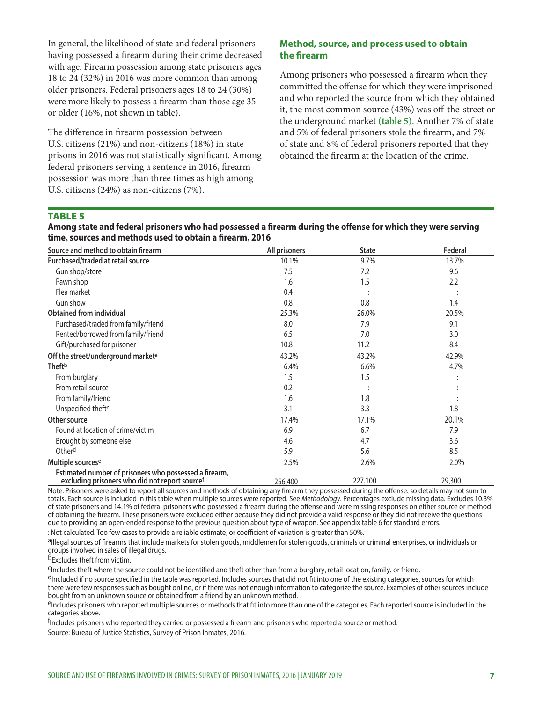In general, the likelihood of state and federal prisoners having possessed a firearm during their crime decreased with age. Firearm possession among state prisoners ages 18 to 24 (32%) in 2016 was more common than among older prisoners. Federal prisoners ages 18 to 24 (30%) were more likely to possess a firearm than those age 35 or older (16%, not shown in table).

The difference in firearm possession between U.S. citizens (21%) and non-citizens (18%) in state prisons in 2016 was not statistically significant. Among federal prisoners serving a sentence in 2016, firearm possession was more than three times as high among U.S. citizens (24%) as non-citizens (7%).

# **Method, source, and process used to obtain the firearm**

Among prisoners who possessed a firearm when they committed the offense for which they were imprisoned and who reported the source from which they obtained it, the most common source (43%) was off-the-street or the underground market **(table 5)**. Another 7% of state and 5% of federal prisoners stole the firearm, and 7% of state and 8% of federal prisoners reported that they obtained the firearm at the location of the crime.

# TABLE 5

**Among state and federal prisoners who had possessed a firearm during the offense for which they were serving time, sources and methods used to obtain a firearm, 2016**

| Source and method to obtain firearm                                                                      | All prisoners | <b>State</b> | Federal |
|----------------------------------------------------------------------------------------------------------|---------------|--------------|---------|
| Purchased/traded at retail source                                                                        | 10.1%         | 9.7%         | 13.7%   |
| Gun shop/store                                                                                           | 7.5           | 7.2          | 9.6     |
| Pawn shop                                                                                                | 1.6           | 1.5          | 2.2     |
| Flea market                                                                                              | 0.4           |              |         |
| Gun show                                                                                                 | 0.8           | 0.8          | 1.4     |
| <b>Obtained from individual</b>                                                                          | 25.3%         | 26.0%        | 20.5%   |
| Purchased/traded from family/friend                                                                      | 8.0           | 7.9          | 9.1     |
| Rented/borrowed from family/friend                                                                       | 6.5           | 7.0          | 3.0     |
| Gift/purchased for prisoner                                                                              | 10.8          | 11.2         | 8.4     |
| Off the street/underground market <sup>a</sup>                                                           | 43.2%         | 43.2%        | 42.9%   |
| <b>Theft</b> b                                                                                           | 6.4%          | 6.6%         | 4.7%    |
| From burglary                                                                                            | 1.5           | 1.5          |         |
| From retail source                                                                                       | 0.2           |              |         |
| From family/friend                                                                                       | 1.6           | 1.8          |         |
| Unspecified theft <sup>c</sup>                                                                           | 3.1           | 3.3          | 1.8     |
| Other source                                                                                             | 17.4%         | 17.1%        | 20.1%   |
| Found at location of crime/victim                                                                        | 6.9           | 6.7          | 7.9     |
| Brought by someone else                                                                                  | 4.6           | 4.7          | 3.6     |
| Otherd                                                                                                   | 5.9           | 5.6          | 8.5     |
| Multiple sourcese                                                                                        | 2.5%          | 2.6%         | 2.0%    |
| Estimated number of prisoners who possessed a firearm,<br>excluding prisoners who did not report sourcef | 256,400       | 227,100      | 29,300  |

Note: Prisoners were asked to report all sources and methods of obtaining any firearm they possessed during the offense, so details may not sum to totals. Each source is included in this table when multiple sources were reported. See *Methodology*. Percentages exclude missing data. Excludes 10.3% of state prisoners and 14.1% of federal prisoners who possessed a firearm during the offense and were missing responses on either source or method of obtaining the firearm. These prisoners were excluded either because they did not provide a valid response or they did not receive the questions due to providing an open-ended response to the previous question about type of weapon. See appendix table 6 for standard errors.

: Not calculated. Too few cases to provide a reliable estimate, or coefficient of variation is greater than 50%.

alllegal sources of firearms that include markets for stolen goods, middlemen for stolen goods, criminals or criminal enterprises, or individuals or groups involved in sales of illegal drugs.

bExcludes theft from victim.

CIncludes theft where the source could not be identified and theft other than from a burglary, retail location, family, or friend.

dIncluded if no source specified in the table was reported. Includes sources that did not fit into one of the existing categories, sources for which there were few responses such as bought online, or if there was not enough information to categorize the source. Examples of other sources include bought from an unknown source or obtained from a friend by an unknown method.

eIncludes prisoners who reported multiple sources or methods that fit into more than one of the categories. Each reported source is included in the categories above.

<sup>f</sup>Includes prisoners who reported they carried or possessed a firearm and prisoners who reported a source or method. Source: Bureau of Justice Statistics, Survey of Prison Inmates, 2016.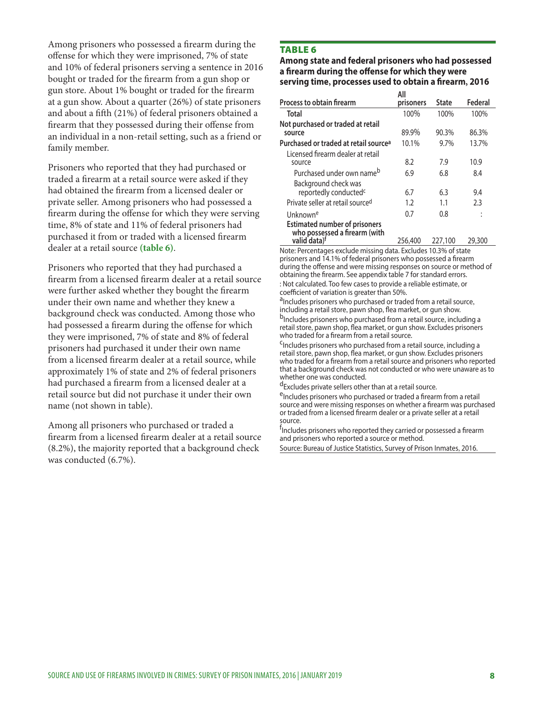Among prisoners who possessed a firearm during the offense for which they were imprisoned, 7% of state and 10% of federal prisoners serving a sentence in 2016 bought or traded for the firearm from a gun shop or gun store. About 1% bought or traded for the firearm at a gun show. About a quarter (26%) of state prisoners and about a fifth (21%) of federal prisoners obtained a firearm that they possessed during their offense from an individual in a non-retail setting, such as a friend or family member.

Prisoners who reported that they had purchased or traded a firearm at a retail source were asked if they had obtained the firearm from a licensed dealer or private seller. Among prisoners who had possessed a firearm during the offense for which they were serving time, 8% of state and 11% of federal prisoners had purchased it from or traded with a licensed firearm dealer at a retail source **(table 6)**.

Prisoners who reported that they had purchased a firearm from a licensed firearm dealer at a retail source were further asked whether they bought the firearm under their own name and whether they knew a background check was conducted. Among those who had possessed a firearm during the offense for which they were imprisoned, 7% of state and 8% of federal prisoners had purchased it under their own name from a licensed firearm dealer at a retail source, while approximately 1% of state and 2% of federal prisoners had purchased a firearm from a licensed dealer at a retail source but did not purchase it under their own name (not shown in table).

Among all prisoners who purchased or traded a firearm from a licensed firearm dealer at a retail source (8.2%), the majority reported that a background check was conducted (6.7%).

# TABLE 6

**Among state and federal prisoners who had possessed a firearm during the offense for which they were serving time, processes used to obtain a firearm, 2016**

|                                                                                               | All        |              |           |
|-----------------------------------------------------------------------------------------------|------------|--------------|-----------|
| Process to obtain firearm                                                                     | prisoners  | <b>State</b> | Federal   |
| Total                                                                                         | 100%       | 100%         | 100%      |
| Not purchased or traded at retail<br>source                                                   | 89.9%      | 90.3%        | 86.3%     |
| Purchased or traded at retail source <sup>a</sup>                                             | 10.1%      | 9.7%         | 13.7%     |
| Licensed firearm dealer at retail<br>source                                                   | 8.2        | 7.9          | 10.9      |
| Purchased under own name <sup>b</sup>                                                         | 6.9        | 6.8          | 8.4       |
| Background check was<br>reportedly conducted <sup>c</sup><br>Private seller at retail sourced | 6.7<br>1.2 | 6.3<br>1.1   | 9.4<br>23 |
|                                                                                               | 0.7        | 0.8          |           |
| Unknown <sup>e</sup>                                                                          |            |              |           |
| <b>Estimated number of prisoners</b><br>who possessed a firearm (with<br>valid data)f         | 256,400    | 227,100      | 29,300    |

Note: Percentages exclude missing data. Excludes 10.3% of state prisoners and 14.1% of federal prisoners who possessed a firearm during the offense and were missing responses on source or method of obtaining the firearm. See appendix table 7 for standard errors.

: Not calculated. Too few cases to provide a reliable estimate, or coefficient of variation is greater than 50%.

<sup>a</sup>Includes prisoners who purchased or traded from a retail source,<br>including a retail store, pawn shop, flea market, or gun show.

<sup>b</sup>Includes prisoners who purchased from a retail source, including a retail store, pawn shop, flea market, or gun show. Excludes prisoners who traded for a firearm from a retail source.

<sup>C</sup>Includes prisoners who purchased from a retail source, including a retail store, pawn shop, flea market, or gun show. Excludes prisoners who traded for a firearm from a retail source and prisoners who reported that a background check was not conducted or who were unaware as to whether one was conducted.

dExcludes private sellers other than at a retail source.

eIncludes prisoners who purchased or traded a firearm from a retail source and were missing responses on whether a firearm was purchased or traded from a licensed firearm dealer or a private seller at a retail source.

<sup>f</sup>Includes prisoners who reported they carried or possessed a firearm and prisoners who reported a source or method.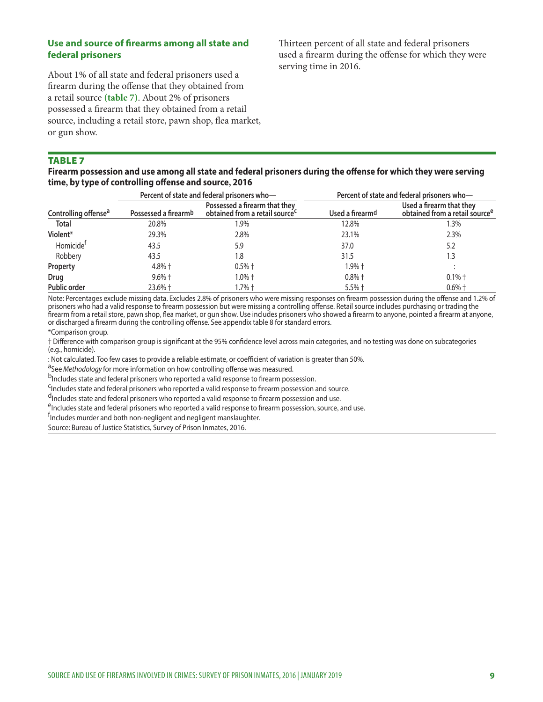# **Use and source of firearms among all state and federal prisoners**

About 1% of all state and federal prisoners used a firearm during the offense that they obtained from a retail source **(table 7)**. About 2% of prisoners possessed a firearm that they obtained from a retail source, including a retail store, pawn shop, flea market, or gun show.

Thirteen percent of all state and federal prisoners used a firearm during the offense for which they were serving time in 2016.

## TABLE 7

**Firearm possession and use among all state and federal prisoners during the offense for which they were serving time, by type of controlling offense and source, 2016**

|                                  |                      | Percent of state and federal prisoners who-                                 | Percent of state and federal prisoners who- |                                                                        |  |  |
|----------------------------------|----------------------|-----------------------------------------------------------------------------|---------------------------------------------|------------------------------------------------------------------------|--|--|
| Controlling offense <sup>a</sup> | Possessed a firearmb | Possessed a firearm that they<br>obtained from a retail source <sup>c</sup> | Used a firearmd                             | Used a firearm that they<br>obtained from a retail source <sup>e</sup> |  |  |
| Total                            | 20.8%                | l.9%                                                                        | 12.8%                                       | 1.3%                                                                   |  |  |
| Violent*                         | 29.3%                | 2.8%                                                                        | 23.1%                                       | 2.3%                                                                   |  |  |
| Homicide <sup>f</sup>            | 43.5                 | 5.9                                                                         | 37.0                                        | 5.2                                                                    |  |  |
| Robbery                          | 43.5                 | 1.8                                                                         | 31.5                                        | 1.3                                                                    |  |  |
| Property                         | $4.8%$ †             | $0.5%$ †                                                                    | $1.9%$ $\dagger$                            |                                                                        |  |  |
| Drug                             | $9.6\% +$            | 1.0% †                                                                      | $0.8%$ †                                    | $0.1\%$ †                                                              |  |  |
| <b>Public order</b>              | 23.6% +              | 1.7% †                                                                      | $5.5%$ †                                    | $0.6\%$ †                                                              |  |  |

Note: Percentages exclude missing data. Excludes 2.8% of prisoners who were missing responses on firearm possession during the offense and 1.2% of prisoners who had a valid response to firearm possession but were missing a controlling offense. Retail source includes purchasing or trading the firearm from a retail store, pawn shop, flea market, or gun show. Use includes prisoners who showed a firearm to anyone, pointed a firearm at anyone, or discharged a firearm during the controlling offense. See appendix table 8 for standard errors.

\*Comparison group.

† Difference with comparison group is significant at the 95% confidence level across main categories, and no testing was done on subcategories (e.g., homicide).

: Not calculated. Too few cases to provide a reliable estimate, or coefficient of variation is greater than 50%.<br><sup>a</sup>See *Methodology* for more information on how controlling offense was measured.<br><sup>b</sup>Includes state and fede

<sup>C</sup>Includes state and federal prisoners who reported a valid response to firearm possession and source.

d<br>Includes state and federal prisoners who reported a valid response to firearm possession and use.

<sup>e</sup>Includes state and federal prisoners who reported a valid response to firearm possession, source, and use.

f<br>Includes murder and both non-negligent and negligent manslaughter.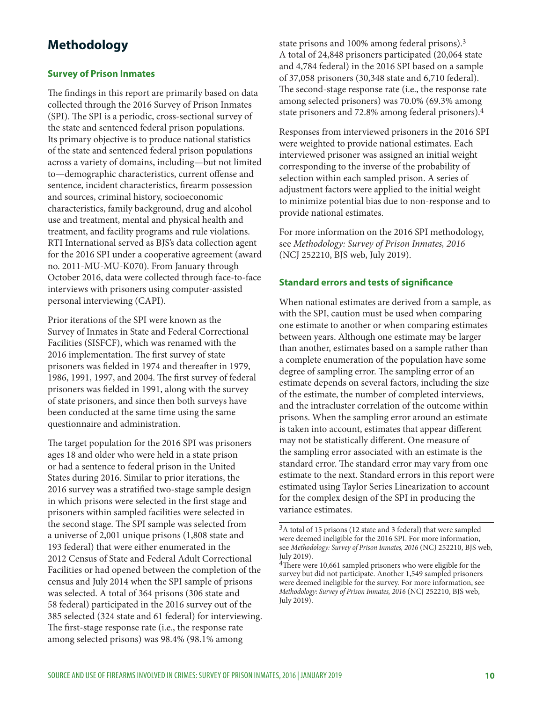# **Methodology**

## **Survey of Prison Inmates**

The findings in this report are primarily based on data collected through the 2016 Survey of Prison Inmates (SPI). The SPI is a periodic, cross-sectional survey of the state and sentenced federal prison populations. Its primary objective is to produce national statistics of the state and sentenced federal prison populations across a variety of domains, including—but not limited to—demographic characteristics, current offense and sentence, incident characteristics, firearm possession and sources, criminal history, socioeconomic characteristics, family background, drug and alcohol use and treatment, mental and physical health and treatment, and facility programs and rule violations. RTI International served as BJS's data collection agent for the 2016 SPI under a cooperative agreement (award no. 2011-MU-MU-K070). From January through October 2016, data were collected through face-to-face interviews with prisoners using computer-assisted personal interviewing (CAPI).

Prior iterations of the SPI were known as the Survey of Inmates in State and Federal Correctional Facilities (SISFCF), which was renamed with the 2016 implementation. The first survey of state prisoners was fielded in 1974 and thereafter in 1979, 1986, 1991, 1997, and 2004. The first survey of federal prisoners was fielded in 1991, along with the survey of state prisoners, and since then both surveys have been conducted at the same time using the same questionnaire and administration.

The target population for the 2016 SPI was prisoners ages 18 and older who were held in a state prison or had a sentence to federal prison in the United States during 2016. Similar to prior iterations, the 2016 survey was a stratified two-stage sample design in which prisons were selected in the first stage and prisoners within sampled facilities were selected in the second stage. The SPI sample was selected from a universe of 2,001 unique prisons (1,808 state and 193 federal) that were either enumerated in the 2012 Census of State and Federal Adult Correctional Facilities or had opened between the completion of the census and July 2014 when the SPI sample of prisons was selected. A total of 364 prisons (306 state and 58 federal) participated in the 2016 survey out of the 385 selected (324 state and 61 federal) for interviewing. The first-stage response rate (i.e., the response rate among selected prisons) was 98.4% (98.1% among

state prisons and 100% among federal prisons).3 A total of 24,848 prisoners participated (20,064 state and 4,784 federal) in the 2016 SPI based on a sample of 37,058 prisoners (30,348 state and 6,710 federal). The second-stage response rate (i.e., the response rate among selected prisoners) was 70.0% (69.3% among state prisoners and 72.8% among federal prisoners).4

Responses from interviewed prisoners in the 2016 SPI were weighted to provide national estimates. Each interviewed prisoner was assigned an initial weight corresponding to the inverse of the probability of selection within each sampled prison. A series of adjustment factors were applied to the initial weight to minimize potential bias due to non-response and to provide national estimates.

For more information on the 2016 SPI methodology, see *Methodology: Survey of Prison Inmates, 2016*  (NCJ 252210, BJS web, July 2019).

#### **Standard errors and tests of significance**

When national estimates are derived from a sample, as with the SPI, caution must be used when comparing one estimate to another or when comparing estimates between years. Although one estimate may be larger than another, estimates based on a sample rather than a complete enumeration of the population have some degree of sampling error. The sampling error of an estimate depends on several factors, including the size of the estimate, the number of completed interviews, and the intracluster correlation of the outcome within prisons. When the sampling error around an estimate is taken into account, estimates that appear different may not be statistically different. One measure of the sampling error associated with an estimate is the standard error. The standard error may vary from one estimate to the next. Standard errors in this report were estimated using Taylor Series Linearization to account for the complex design of the SPI in producing the variance estimates.

<sup>3</sup>A total of 15 prisons (12 state and 3 federal) that were sampled were deemed ineligible for the 2016 SPI. For more information, see *Methodology: Survey of Prison Inmates, 2016* (NCJ 252210, BJS web, July 2019).

<sup>&</sup>lt;sup>4</sup>There were 10,661 sampled prisoners who were eligible for the survey but did not participate. Another 1,549 sampled prisoners were deemed ineligible for the survey. For more information, see *Methodology: Survey of Prison Inmates, 2016* (NCJ 252210, BJS web, July 2019).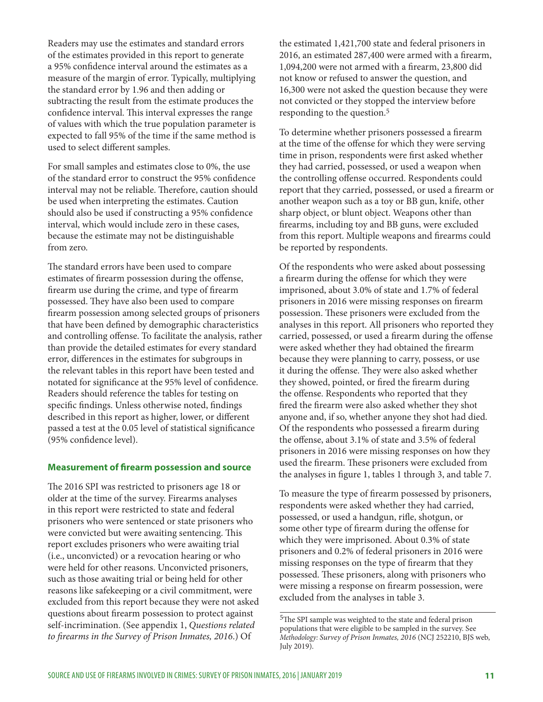Readers may use the estimates and standard errors of the estimates provided in this report to generate a 95% confidence interval around the estimates as a measure of the margin of error. Typically, multiplying the standard error by 1.96 and then adding or subtracting the result from the estimate produces the confidence interval. This interval expresses the range of values with which the true population parameter is expected to fall 95% of the time if the same method is used to select different samples.

For small samples and estimates close to 0%, the use of the standard error to construct the 95% confidence interval may not be reliable. Therefore, caution should be used when interpreting the estimates. Caution should also be used if constructing a 95% confidence interval, which would include zero in these cases, because the estimate may not be distinguishable from zero.

The standard errors have been used to compare estimates of firearm possession during the offense, firearm use during the crime, and type of firearm possessed. They have also been used to compare firearm possession among selected groups of prisoners that have been defined by demographic characteristics and controlling offense. To facilitate the analysis, rather than provide the detailed estimates for every standard error, differences in the estimates for subgroups in the relevant tables in this report have been tested and notated for significance at the 95% level of confidence. Readers should reference the tables for testing on specific findings. Unless otherwise noted, findings described in this report as higher, lower, or different passed a test at the 0.05 level of statistical significance (95% confidence level).

#### **Measurement of firearm possession and source**

The 2016 SPI was restricted to prisoners age 18 or older at the time of the survey. Firearms analyses in this report were restricted to state and federal prisoners who were sentenced or state prisoners who were convicted but were awaiting sentencing. This report excludes prisoners who were awaiting trial (i.e., unconvicted) or a revocation hearing or who were held for other reasons. Unconvicted prisoners, such as those awaiting trial or being held for other reasons like safekeeping or a civil commitment, were excluded from this report because they were not asked questions about firearm possession to protect against self-incrimination. (See appendix 1, *Questions related to firearms in the Survey of Prison Inmates, 2016*.) Of

the estimated 1,421,700 state and federal prisoners in 2016, an estimated 287,400 were armed with a firearm, 1,094,200 were not armed with a firearm, 23,800 did not know or refused to answer the question, and 16,300 were not asked the question because they were not convicted or they stopped the interview before responding to the question.5

To determine whether prisoners possessed a firearm at the time of the offense for which they were serving time in prison, respondents were first asked whether they had carried, possessed, or used a weapon when the controlling offense occurred. Respondents could report that they carried, possessed, or used a firearm or another weapon such as a toy or BB gun, knife, other sharp object, or blunt object. Weapons other than firearms, including toy and BB guns, were excluded from this report. Multiple weapons and firearms could be reported by respondents.

Of the respondents who were asked about possessing a firearm during the offense for which they were imprisoned, about 3.0% of state and 1.7% of federal prisoners in 2016 were missing responses on firearm possession. These prisoners were excluded from the analyses in this report. All prisoners who reported they carried, possessed, or used a firearm during the offense were asked whether they had obtained the firearm because they were planning to carry, possess, or use it during the offense. They were also asked whether they showed, pointed, or fired the firearm during the offense. Respondents who reported that they fired the firearm were also asked whether they shot anyone and, if so, whether anyone they shot had died. Of the respondents who possessed a firearm during the offense, about 3.1% of state and 3.5% of federal prisoners in 2016 were missing responses on how they used the firearm. These prisoners were excluded from the analyses in figure 1, tables 1 through 3, and table 7.

To measure the type of firearm possessed by prisoners, respondents were asked whether they had carried, possessed, or used a handgun, rifle, shotgun, or some other type of firearm during the offense for which they were imprisoned. About 0.3% of state prisoners and 0.2% of federal prisoners in 2016 were missing responses on the type of firearm that they possessed. These prisoners, along with prisoners who were missing a response on firearm possession, were excluded from the analyses in table 3.

<sup>5</sup>The SPI sample was weighted to the state and federal prison populations that were eligible to be sampled in the survey. See *Methodology: Survey of Prison Inmates, 2016* (NCJ 252210, BJS web, July 2019).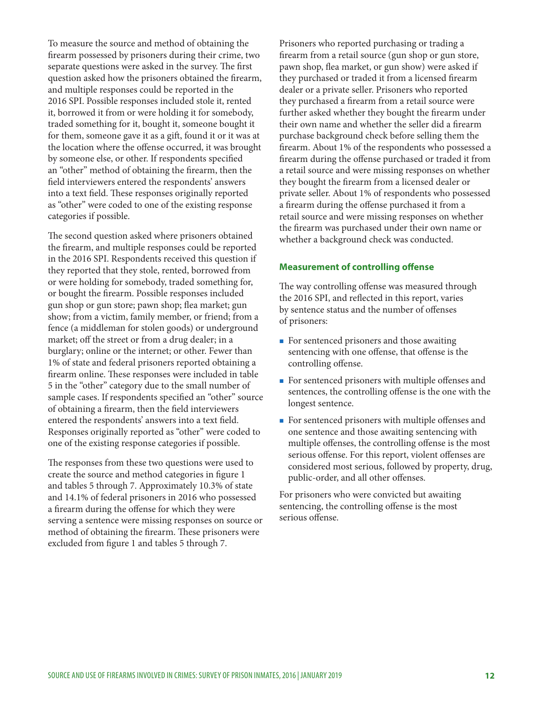To measure the source and method of obtaining the firearm possessed by prisoners during their crime, two separate questions were asked in the survey. The first question asked how the prisoners obtained the firearm, and multiple responses could be reported in the 2016 SPI. Possible responses included stole it, rented it, borrowed it from or were holding it for somebody, traded something for it, bought it, someone bought it for them, someone gave it as a gift, found it or it was at the location where the offense occurred, it was brought by someone else, or other. If respondents specified an "other" method of obtaining the firearm, then the field interviewers entered the respondents' answers into a text field. These responses originally reported as "other" were coded to one of the existing response categories if possible.

The second question asked where prisoners obtained the firearm, and multiple responses could be reported in the 2016 SPI. Respondents received this question if they reported that they stole, rented, borrowed from or were holding for somebody, traded something for, or bought the firearm. Possible responses included gun shop or gun store; pawn shop; flea market; gun show; from a victim, family member, or friend; from a fence (a middleman for stolen goods) or underground market; off the street or from a drug dealer; in a burglary; online or the internet; or other. Fewer than 1% of state and federal prisoners reported obtaining a firearm online. These responses were included in table 5 in the "other" category due to the small number of sample cases. If respondents specified an "other" source of obtaining a firearm, then the field interviewers entered the respondents' answers into a text field. Responses originally reported as "other" were coded to one of the existing response categories if possible.

The responses from these two questions were used to create the source and method categories in figure 1 and tables 5 through 7. Approximately 10.3% of state and 14.1% of federal prisoners in 2016 who possessed a firearm during the offense for which they were serving a sentence were missing responses on source or method of obtaining the firearm. These prisoners were excluded from figure 1 and tables 5 through 7.

Prisoners who reported purchasing or trading a firearm from a retail source (gun shop or gun store, pawn shop, flea market, or gun show) were asked if they purchased or traded it from a licensed firearm dealer or a private seller. Prisoners who reported they purchased a firearm from a retail source were further asked whether they bought the firearm under their own name and whether the seller did a firearm purchase background check before selling them the firearm. About 1% of the respondents who possessed a firearm during the offense purchased or traded it from a retail source and were missing responses on whether they bought the firearm from a licensed dealer or private seller. About 1% of respondents who possessed a firearm during the offense purchased it from a retail source and were missing responses on whether the firearm was purchased under their own name or whether a background check was conducted.

#### **Measurement of controlling offense**

The way controlling offense was measured through the 2016 SPI, and reflected in this report, varies by sentence status and the number of offenses of prisoners:

- **For sentenced prisoners and those awaiting** sentencing with one offense, that offense is the controlling offense.
- For sentenced prisoners with multiple offenses and sentences, the controlling offense is the one with the longest sentence.
- **For sentenced prisoners with multiple offenses and** one sentence and those awaiting sentencing with multiple offenses, the controlling offense is the most serious offense. For this report, violent offenses are considered most serious, followed by property, drug, public-order, and all other offenses.

For prisoners who were convicted but awaiting sentencing, the controlling offense is the most serious offense.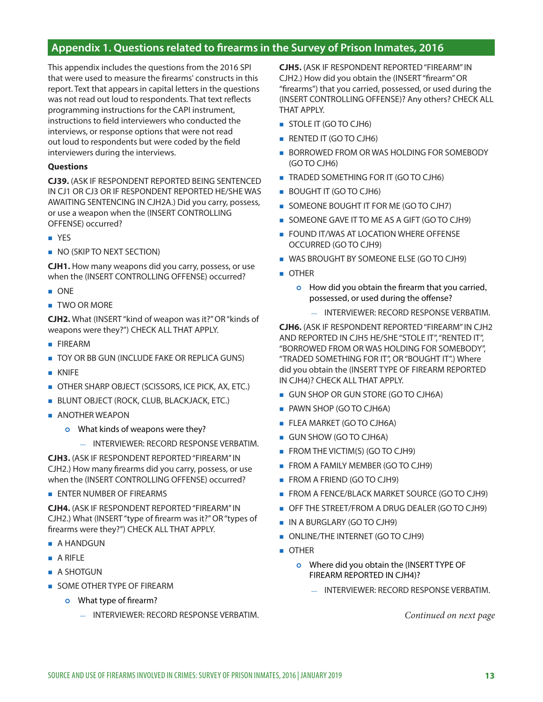# **Appendix 1. Questions related to firearms in the Survey of Prison Inmates, 2016**

This appendix includes the questions from the 2016 SPI that were used to measure the firearms' constructs in this report. Text that appears in capital letters in the questions was not read out loud to respondents. That text reflects programming instructions for the CAPI instrument, instructions to field interviewers who conducted the interviews, or response options that were not read out loud to respondents but were coded by the field interviewers during the interviews.

#### **Questions**

**CJ39.** (ASK IF RESPONDENT REPORTED BEING SENTENCED IN CJ1 OR CJ3 OR IF RESPONDENT REPORTED HE/SHE WAS AWAITING SENTENCING IN CJH2A.) Did you carry, possess, or use a weapon when the (INSERT CONTROLLING OFFENSE) occurred?

- **NO YES**
- NO (SKIP TO NEXT SECTION)

**CJH1.** How many weapons did you carry, possess, or use when the (INSERT CONTROLLING OFFENSE) occurred?

- **DONE**
- **TWO OR MORE**

**CJH2.** What (INSERT "kind of weapon was it?" OR "kinds of weapons were they?") CHECK ALL THAT APPLY.

- **FIREARM**
- **TOY OR BB GUN (INCLUDE FAKE OR REPLICA GUNS)**
- **KNIFF**
- **OTHER SHARP OBJECT (SCISSORS, ICE PICK, AX, ETC.)**
- BLUNT OBJECT (ROCK, CLUB, BLACKJACK, ETC.)
- **ANOTHER WEAPON** 
	- **o** What kinds of weapons were they?
		- INTERVIEWER: RECORD RESPONSE VERBATIM.

**CJH3.** (ASK IF RESPONDENT REPORTED "FIREARM" IN CJH2.) How many firearms did you carry, possess, or use when the (INSERT CONTROLLING OFFENSE) occurred?

**ENTER NUMBER OF FIREARMS** 

**CJH4.** (ASK IF RESPONDENT REPORTED "FIREARM" IN CJH2.) What (INSERT "type of firearm was it?" OR "types of firearms were they?") CHECK ALL THAT APPLY.

- **A HANDGUN**
- A RIFLE
- **A SHOTGUN**
- **SOME OTHER TYPE OF FIREARM** 
	- **o** What type of firearm?
		- INTERVIEWER: RECORD RESPONSE VERBATIM.

**CJH5.** (ASK IF RESPONDENT REPORTED "FIREARM" IN CJH2.) How did you obtain the (INSERT "firearm" OR "firearms") that you carried, possessed, or used during the (INSERT CONTROLLING OFFENSE)? Any others? CHECK ALL THAT APPLY.

- STOLE IT (GO TO CJH6)
- **RENTED IT (GO TO CJH6)**
- **BORROWED FROM OR WAS HOLDING FOR SOMEBODY** (GO TO CJH6)
- **TRADED SOMETHING FOR IT (GO TO CJH6)**
- BOUGHT IT (GO TO CJH6)
- SOMEONE BOUGHT IT FOR ME (GO TO CJH7)
- SOMEONE GAVE IT TO ME AS A GIFT (GO TO CJH9)
- **FOUND IT/WAS AT LOCATION WHERE OFFENSE** OCCURRED (GO TO CJH9)
- WAS BROUGHT BY SOMEONE ELSE (GO TO CJH9)
- **OTHER** 
	- **o** How did you obtain the firearm that you carried, possessed, or used during the offense?
		- INTERVIEWER: RECORD RESPONSE VERBATIM.

**CJH6.** (ASK IF RESPONDENT REPORTED "FIREARM" IN CJH2 AND REPORTED IN CJH5 HE/SHE "STOLE IT", "RENTED IT", "BORROWED FROM OR WAS HOLDING FOR SOMEBODY", "TRADED SOMETHING FOR IT", OR "BOUGHT IT".) Where did you obtain the (INSERT TYPE OF FIREARM REPORTED IN CJH4)? CHECK ALL THAT APPLY.

- GUN SHOP OR GUN STORE (GO TO CJH6A)
- **PAWN SHOP (GO TO CJH6A)**
- **FLEA MARKET (GO TO CJH6A)**
- GUN SHOW (GO TO CJH6A)
- **FROM THE VICTIM(S) (GO TO CJH9)**
- **FROM A FAMILY MEMBER (GO TO CJH9)**
- **FROM A FRIEND (GO TO CJH9)**
- **FROM A FENCE/BLACK MARKET SOURCE (GO TO CJH9)**
- OFF THE STREET/FROM A DRUG DEALER (GO TO CJH9)
- **IN A BURGLARY (GO TO CJH9)**
- ONLINE/THE INTERNET (GO TO CJH9)
- **OTHER** 
	- o Where did you obtain the (INSERT TYPE OF FIREARM REPORTED IN CJH4)?
		- INTERVIEWER: RECORD RESPONSE VERBATIM.

*Continued on next page*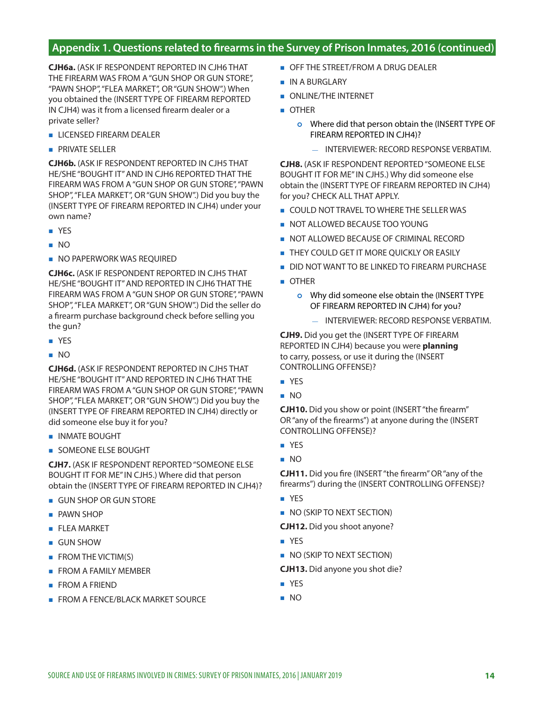# **Appendix 1. Questions related to firearms in the Survey of Prison Inmates, 2016 (continued)**

**CJH6a.** (ASK IF RESPONDENT REPORTED IN CJH6 THAT THE FIREARM WAS FROM A "GUN SHOP OR GUN STORE", "PAWN SHOP", "FLEA MARKET", OR "GUN SHOW".) When you obtained the (INSERT TYPE OF FIREARM REPORTED IN CJH4) was it from a licensed firearm dealer or a private seller?

- LICENSED FIREARM DEALER
- **PRIVATE SELLER**

**CJH6b.** (ASK IF RESPONDENT REPORTED IN CJH5 THAT HE/SHE "BOUGHT IT" AND IN CJH6 REPORTED THAT THE FIREARM WAS FROM A "GUN SHOP OR GUN STORE", "PAWN SHOP", "FLEA MARKET", OR "GUN SHOW".) Did you buy the (INSERT TYPE OF FIREARM REPORTED IN CJH4) under your own name?

- **N** YFS
- NO
- **NO PAPERWORK WAS REQUIRED**

**CJH6c.** (ASK IF RESPONDENT REPORTED IN CJH5 THAT HE/SHE "BOUGHT IT" AND REPORTED IN CJH6 THAT THE FIREARM WAS FROM A "GUN SHOP OR GUN STORE", "PAWN SHOP", "FLEA MARKET", OR "GUN SHOW".) Did the seller do a firearm purchase background check before selling you the gun?

- **N** YES
- NO

**CJH6d.** (ASK IF RESPONDENT REPORTED IN CJH5 THAT HE/SHE "BOUGHT IT" AND REPORTED IN CJH6 THAT THE FIREARM WAS FROM A "GUN SHOP OR GUN STORE", "PAWN SHOP", "FLEA MARKET", OR "GUN SHOW".) Did you buy the (INSERT TYPE OF FIREARM REPORTED IN CJH4) directly or did someone else buy it for you?

- **INMATE BOUGHT**
- **SOMEONE ELSE BOUGHT**

**CJH7.** (ASK IF RESPONDENT REPORTED "SOMEONE ELSE BOUGHT IT FOR ME" IN CJH5.) Where did that person obtain the (INSERT TYPE OF FIREARM REPORTED IN CJH4)?

- **GUN SHOP OR GUN STORE**
- **PAWN SHOP**
- **FLEA MARKET**
- GUN SHOW
- **FROM THE VICTIM(S)**
- **FROM A FAMILY MEMBER**
- **FROM A FRIEND**
- **FROM A FENCE/BLACK MARKET SOURCE**
- **OFF THE STREET/FROM A DRUG DEALER**
- **IN A BURGLARY**
- **ONLINE/THE INTERNET**
- OTHER
	- o Where did that person obtain the (INSERT TYPE OF FIREARM REPORTED IN CJH4)?
		- INTERVIEWER: RECORD RESPONSE VERBATIM.

**CJH8.** (ASK IF RESPONDENT REPORTED "SOMEONE ELSE BOUGHT IT FOR ME" IN CJH5.) Why did someone else obtain the (INSERT TYPE OF FIREARM REPORTED IN CJH4) for you? CHECK ALL THAT APPLY.

- **COULD NOT TRAVEL TO WHERE THE SELLER WAS**
- NOT ALLOWED BECAUSE TOO YOUNG
- **NOT ALLOWED BECAUSE OF CRIMINAL RECORD**
- **THEY COULD GET IT MORE OUICKLY OR EASILY**
- DID NOT WANT TO BE LINKED TO FIREARM PURCHASE
- OTHER
	- o Why did someone else obtain the (INSERT TYPE OF FIREARM REPORTED IN CJH4) for you?
		- INTERVIEWER: RECORD RESPONSE VERBATIM.

**CJH9.** Did you get the (INSERT TYPE OF FIREARM REPORTED IN CJH4) because you were **planning** to carry, possess, or use it during the (INSERT CONTROLLING OFFENSE)?

- **YES**
- NO

**CJH10.** Did you show or point (INSERT "the firearm" OR "any of the firearms") at anyone during the (INSERT CONTROLLING OFFENSE)?

- **N** YES
- NO

**CJH11.** Did you fire (INSERT "the firearm" OR "any of the firearms") during the (INSERT CONTROLLING OFFENSE)?

- **No. YES**
- NO (SKIP TO NEXT SECTION)

**CJH12.** Did you shoot anyone?

- **NO** YES
- NO (SKIP TO NEXT SECTION)

**CJH13.** Did anyone you shot die?

- **N** YES
- NO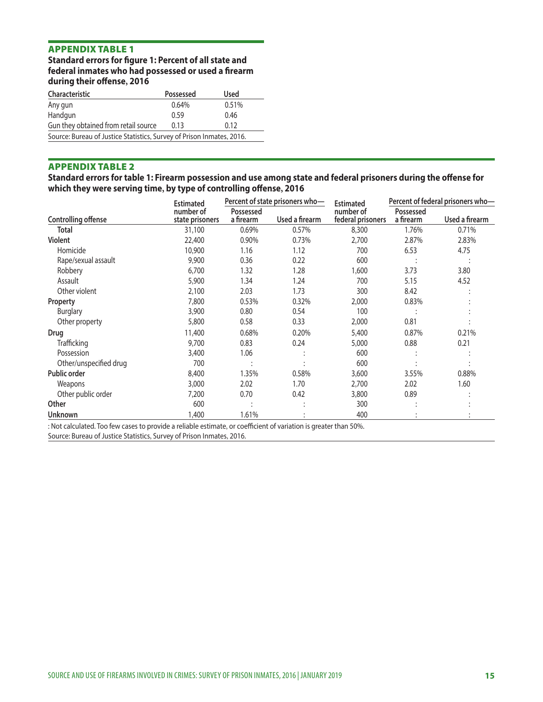**Standard errors for figure 1: Percent of all state and federal inmates who had possessed or used a firearm during their offense, 2016**

| <b>Characteristic</b>                                                 | Possessed | <b>Used</b> |  |  |  |  |
|-----------------------------------------------------------------------|-----------|-------------|--|--|--|--|
| Any gun                                                               | 0.64%     | 0.51%       |  |  |  |  |
| Handgun                                                               | 0.59      | 0.46        |  |  |  |  |
| Gun they obtained from retail source                                  | 0.13      | 0.12        |  |  |  |  |
| Source: Bureau of Justice Statistics, Survey of Prison Inmates, 2016. |           |             |  |  |  |  |

#### APPENDIX TABLE 2

# **Standard errors for table 1: Firearm possession and use among state and federal prisoners during the offense for which they were serving time, by type of controlling offense, 2016**

|                            | <b>Estimated</b>             |                        | Percent of state prisoners who- | <b>Estimated</b>               | Percent of federal prisoners who- |                |
|----------------------------|------------------------------|------------------------|---------------------------------|--------------------------------|-----------------------------------|----------------|
| <b>Controlling offense</b> | number of<br>state prisoners | Possessed<br>a firearm | Used a firearm                  | number of<br>federal prisoners | Possessed<br>a firearm            | Used a firearm |
| Total                      | 31,100                       | 0.69%                  | 0.57%                           | 8,300                          | 1.76%                             | 0.71%          |
| <b>Violent</b>             | 22,400                       | 0.90%                  | 0.73%                           | 2,700                          | 2.87%                             | 2.83%          |
| Homicide                   | 10,900                       | 1.16                   | 1.12                            | 700                            | 6.53                              | 4.75           |
| Rape/sexual assault        | 9,900                        | 0.36                   | 0.22                            | 600                            |                                   |                |
| Robbery                    | 6,700                        | 1.32                   | 1.28                            | 1,600                          | 3.73                              | 3.80           |
| Assault                    | 5,900                        | 1.34                   | 1.24                            | 700                            | 5.15                              | 4.52           |
| Other violent              | 2,100                        | 2.03                   | 1.73                            | 300                            | 8.42                              |                |
| Property                   | 7,800                        | 0.53%                  | 0.32%                           | 2,000                          | 0.83%                             |                |
| <b>Burglary</b>            | 3,900                        | 0.80                   | 0.54                            | 100                            |                                   |                |
| Other property             | 5,800                        | 0.58                   | 0.33                            | 2,000                          | 0.81                              |                |
| Drug                       | 11,400                       | 0.68%                  | 0.20%                           | 5,400                          | 0.87%                             | 0.21%          |
| Trafficking                | 9,700                        | 0.83                   | 0.24                            | 5,000                          | 0.88                              | 0.21           |
| Possession                 | 3,400                        | 1.06                   |                                 | 600                            |                                   |                |
| Other/unspecified drug     | 700                          |                        |                                 | 600                            |                                   |                |
| <b>Public order</b>        | 8,400                        | 1.35%                  | 0.58%                           | 3,600                          | 3.55%                             | 0.88%          |
| Weapons                    | 3,000                        | 2.02                   | 1.70                            | 2,700                          | 2.02                              | 1.60           |
| Other public order         | 7,200                        | 0.70                   | 0.42                            | 3,800                          | 0.89                              |                |
| Other                      | 600                          |                        |                                 | 300                            |                                   |                |
| <b>Unknown</b>             | 1,400                        | 1.61%                  |                                 | 400                            |                                   |                |

: Not calculated. Too few cases to provide a reliable estimate, or coefficient of variation is greater than 50%.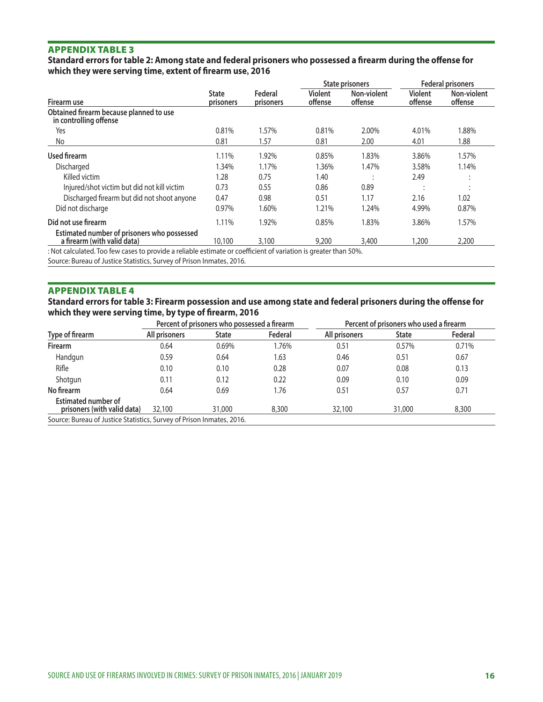#### **Standard errors for table 2: Among state and federal prisoners who possessed a firearm during the offense for which they were serving time, extent of firearm use, 2016**

|                           |                      | <b>State prisoners</b>    |                        | <b>Federal prisoners</b>  |                           |
|---------------------------|----------------------|---------------------------|------------------------|---------------------------|---------------------------|
| <b>State</b><br>prisoners | Federal<br>prisoners | <b>Violent</b><br>offense | Non-violent<br>offense | <b>Violent</b><br>offense | Non-violent<br>offense    |
|                           |                      |                           |                        |                           |                           |
| 0.81%                     | 1.57%                | 0.81%                     | 2.00%                  | 4.01%                     | 1.88%                     |
| 0.81                      | 1.57                 | 0.81                      | 2.00                   | 4.01                      | 1.88                      |
| 1.11%                     | 1.92%                | 0.85%                     | 1.83%                  | 3.86%                     | 1.57%                     |
| 1.34%                     | 1.17%                | 1.36%                     | 1.47%                  | 3.58%                     | 1.14%                     |
| 1.28                      | 0.75                 | 1.40                      |                        | 2.49                      |                           |
| 0.73                      | 0.55                 | 0.86                      | 0.89                   |                           | ٠<br>$\ddot{\phantom{a}}$ |
| 0.47                      | 0.98                 | 0.51                      | 1.17                   | 2.16                      | 1.02                      |
| 0.97%                     | 1.60%                | 1.21%                     | 1.24%                  | 4.99%                     | 0.87%                     |
| 1.11%                     | 1.92%                | 0.85%                     | 1.83%                  | 3.86%                     | 1.57%                     |
| 10,100                    | 3,100                | 9.200                     | 3,400                  | 1,200                     | 2,200                     |
|                           |                      |                           |                        |                           |                           |

: Not calculated. Too few cases to provide a reliable estimate or coefficient of variation is greater than 50%.

Source: Bureau of Justice Statistics, Survey of Prison Inmates, 2016.

#### APPENDIX TABLE 4

#### **Standard errors for table 3: Firearm possession and use among state and federal prisoners during the offense for which they were serving time, by type of firearm, 2016**

|                                                                       | Percent of prisoners who possessed a firearm |              |         | Percent of prisoners who used a firearm |              |         |
|-----------------------------------------------------------------------|----------------------------------------------|--------------|---------|-----------------------------------------|--------------|---------|
| Type of firearm                                                       | All prisoners                                | <b>State</b> | Federal | All prisoners                           | <b>State</b> | Federal |
| <b>Firearm</b>                                                        | 0.64                                         | 0.69%        | 1.76%   | 0.51                                    | 0.57%        | 0.71%   |
| Handgun                                                               | 0.59                                         | 0.64         | 1.63    | 0.46                                    | 0.51         | 0.67    |
| Rifle                                                                 | 0.10                                         | 0.10         | 0.28    | 0.07                                    | 0.08         | 0.13    |
| Shotgun                                                               | 0.11                                         | 0.12         | 0.22    | 0.09                                    | 0.10         | 0.09    |
| No firearm                                                            | 0.64                                         | 0.69         | 1.76    | 0.51                                    | 0.57         | 0.71    |
| <b>Estimated number of</b><br>prisoners (with valid data)             | 32,100                                       | 31,000       | 8,300   | 32,100                                  | 31,000       | 8,300   |
| Source: Bureau of Justice Statistics, Survey of Prison Inmates, 2016. |                                              |              |         |                                         |              |         |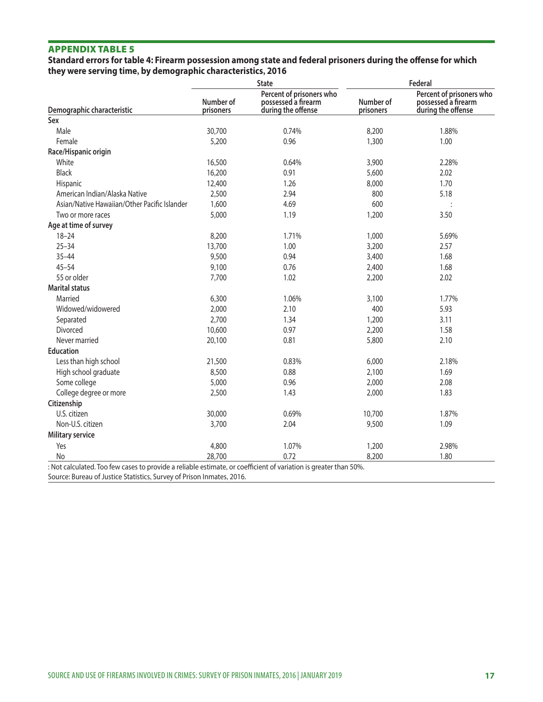#### **Standard errors for table 4: Firearm possession among state and federal prisoners during the offense for which they were serving time, by demographic characteristics, 2016**

|                                              |                        | <b>State</b>                                                          | Federal                |                                                                       |  |
|----------------------------------------------|------------------------|-----------------------------------------------------------------------|------------------------|-----------------------------------------------------------------------|--|
| Demographic characteristic                   | Number of<br>prisoners | Percent of prisoners who<br>possessed a firearm<br>during the offense | Number of<br>prisoners | Percent of prisoners who<br>possessed a firearm<br>during the offense |  |
| Sex                                          |                        |                                                                       |                        |                                                                       |  |
| Male                                         | 30,700                 | 0.74%                                                                 | 8,200                  | 1.88%                                                                 |  |
| Female                                       | 5,200                  | 0.96                                                                  | 1,300                  | 1.00                                                                  |  |
| Race/Hispanic origin                         |                        |                                                                       |                        |                                                                       |  |
| White                                        | 16,500                 | 0.64%                                                                 | 3,900                  | 2.28%                                                                 |  |
| <b>Black</b>                                 | 16,200                 | 0.91                                                                  | 5,600                  | 2.02                                                                  |  |
| Hispanic                                     | 12,400                 | 1.26                                                                  | 8,000                  | 1.70                                                                  |  |
| American Indian/Alaska Native                | 2,500                  | 2.94                                                                  | 800                    | 5.18                                                                  |  |
| Asian/Native Hawaiian/Other Pacific Islander | 1,600                  | 4.69                                                                  | 600                    |                                                                       |  |
| Two or more races                            | 5,000                  | 1.19                                                                  | 1,200                  | 3.50                                                                  |  |
| Age at time of survey                        |                        |                                                                       |                        |                                                                       |  |
| $18 - 24$                                    | 8,200                  | 1.71%                                                                 | 1,000                  | 5.69%                                                                 |  |
| $25 - 34$                                    | 13,700                 | 1.00                                                                  | 3,200                  | 2.57                                                                  |  |
| $35 - 44$                                    | 9,500                  | 0.94                                                                  | 3,400                  | 1.68                                                                  |  |
| $45 - 54$                                    | 9,100                  | 0.76                                                                  | 2,400                  | 1.68                                                                  |  |
| 55 or older                                  | 7,700                  | 1.02                                                                  | 2,200                  | 2.02                                                                  |  |
| <b>Marital status</b>                        |                        |                                                                       |                        |                                                                       |  |
| Married                                      | 6,300                  | 1.06%                                                                 | 3,100                  | 1.77%                                                                 |  |
| Widowed/widowered                            | 2,000                  | 2.10                                                                  | 400                    | 5.93                                                                  |  |
| Separated                                    | 2,700                  | 1.34                                                                  | 1,200                  | 3.11                                                                  |  |
| Divorced                                     | 10,600                 | 0.97                                                                  | 2,200                  | 1.58                                                                  |  |
| Never married                                | 20,100                 | 0.81                                                                  | 5,800                  | 2.10                                                                  |  |
| <b>Education</b>                             |                        |                                                                       |                        |                                                                       |  |
| Less than high school                        | 21,500                 | 0.83%                                                                 | 6,000                  | 2.18%                                                                 |  |
| High school graduate                         | 8,500                  | 0.88                                                                  | 2,100                  | 1.69                                                                  |  |
| Some college                                 | 5,000                  | 0.96                                                                  | 2,000                  | 2.08                                                                  |  |
| College degree or more                       | 2,500                  | 1.43                                                                  | 2,000                  | 1.83                                                                  |  |
| Citizenship                                  |                        |                                                                       |                        |                                                                       |  |
| U.S. citizen                                 | 30,000                 | 0.69%                                                                 | 10,700                 | 1.87%                                                                 |  |
| Non-U.S. citizen                             | 3,700                  | 2.04                                                                  | 9,500                  | 1.09                                                                  |  |
| <b>Military service</b>                      |                        |                                                                       |                        |                                                                       |  |
| Yes                                          | 4,800                  | 1.07%                                                                 | 1,200                  | 2.98%                                                                 |  |
| No                                           | 28,700                 | 0.72                                                                  | 8,200                  | 1.80                                                                  |  |

: Not calculated. Too few cases to provide a reliable estimate, or coefficient of variation is greater than 50%. Source: Bureau of Justice Statistics, Survey of Prison Inmates, 2016.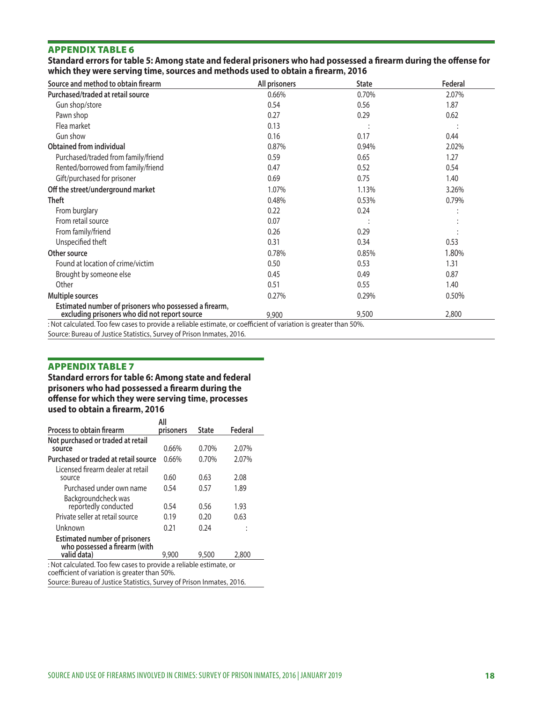**Standard errors for table 5: Among state and federal prisoners who had possessed a firearm during the offense for which they were serving time, sources and methods used to obtain a firearm, 2016**

| Source and method to obtain firearm                                                                     | All prisoners | <b>State</b> | Federal  |
|---------------------------------------------------------------------------------------------------------|---------------|--------------|----------|
| Purchased/traded at retail source                                                                       | 0.66%         | 0.70%        | 2.07%    |
| Gun shop/store                                                                                          | 0.54          | 0.56         | 1.87     |
| Pawn shop                                                                                               | 0.27          | 0.29         | 0.62     |
| Flea market                                                                                             | 0.13          |              |          |
| Gun show                                                                                                | 0.16          | 0.17         | 0.44     |
| <b>Obtained from individual</b>                                                                         | 0.87%         | 0.94%        | 2.02%    |
| Purchased/traded from family/friend                                                                     | 0.59          | 0.65         | 1.27     |
| Rented/borrowed from family/friend                                                                      | 0.47          | 0.52         | 0.54     |
| Gift/purchased for prisoner                                                                             | 0.69          | 0.75         | 1.40     |
| Off the street/underground market                                                                       | 1.07%         | 1.13%        | 3.26%    |
| Theft                                                                                                   | 0.48%         | 0.53%        | 0.79%    |
| From burglary                                                                                           | 0.22          | 0.24         |          |
| From retail source                                                                                      | 0.07          |              |          |
| From family/friend                                                                                      | 0.26          | 0.29         |          |
| Unspecified theft                                                                                       | 0.31          | 0.34         | 0.53     |
| Other source                                                                                            | 0.78%         | 0.85%        | 1.80%    |
| Found at location of crime/victim                                                                       | 0.50          | 0.53         | 1.31     |
| Brought by someone else                                                                                 | 0.45          | 0.49         | 0.87     |
| Other                                                                                                   | 0.51          | 0.55         | 1.40     |
| <b>Multiple sources</b>                                                                                 | 0.27%         | 0.29%        | $0.50\%$ |
| Estimated number of prisoners who possessed a firearm,<br>excluding prisoners who did not report source | 9.900         | 9,500        | 2,800    |

: Not calculated. Too few cases to provide a reliable estimate, or coefficient of variation is greater than 50%.

Source: Bureau of Justice Statistics, Survey of Prison Inmates, 2016.

# APPENDIX TABLE 7

**Standard errors for table 6: Among state and federal prisoners who had possessed a firearm during the offense for which they were serving time, processes used to obtain a firearm, 2016**

|                                                                                                                     | All       |              |         |
|---------------------------------------------------------------------------------------------------------------------|-----------|--------------|---------|
| <b>Process to obtain firearm</b>                                                                                    | prisoners | <b>State</b> | Federal |
| Not purchased or traded at retail                                                                                   |           |              |         |
| source                                                                                                              | 0.66%     | 0.70%        | 2.07%   |
| Purchased or traded at retail source                                                                                | 0.66%     | 0.70%        | 2.07%   |
| Licensed firearm dealer at retail                                                                                   |           |              |         |
| source                                                                                                              | 0.60      | 0.63         | 2.08    |
| Purchased under own name                                                                                            | 0.54      | 0.57         | 1.89    |
| Backgroundcheck was                                                                                                 |           |              |         |
| reportedly conducted                                                                                                | 0.54      | 0.56         | 1.93    |
| Private seller at retail source                                                                                     | 0.19      | 0.20         | 0.63    |
| Unknown                                                                                                             | 0.21      | 0.24         |         |
| <b>Estimated number of prisoners</b><br>who possessed a firearm (with                                               |           |              |         |
| valid data)                                                                                                         | 9,900     | 9,500        | 2,800   |
| : Not calculated. Too few cases to provide a reliable estimate, or<br>coefficient of variation is greater than 50%. |           |              |         |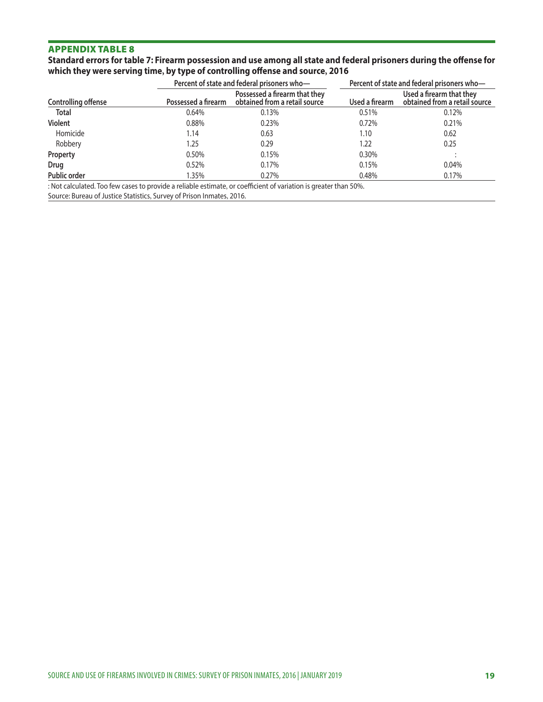**Standard errors for table 7: Firearm possession and use among all state and federal prisoners during the offense for which they were serving time, by type of controlling offense and source, 2016**

|                     | Percent of state and federal prisoners who- |                                                                | Percent of state and federal prisoners who- |                                                           |
|---------------------|---------------------------------------------|----------------------------------------------------------------|---------------------------------------------|-----------------------------------------------------------|
| Controlling offense | Possessed a firearm                         | Possessed a firearm that they<br>obtained from a retail source | Used a firearm                              | Used a firearm that they<br>obtained from a retail source |
| <b>Total</b>        | 0.64%                                       | 0.13%                                                          | 0.51%                                       | 0.12%                                                     |
| <b>Violent</b>      | 0.88%                                       | 0.23%                                                          | 0.72%                                       | 0.21%                                                     |
| Homicide            | 1.14                                        | 0.63                                                           | 1.10                                        | 0.62                                                      |
| Robbery             | 1.25                                        | 0.29                                                           | 1.22                                        | 0.25                                                      |
| Property            | 0.50%                                       | 0.15%                                                          | 0.30%                                       |                                                           |
| Drug                | 0.52%                                       | 0.17%                                                          | 0.15%                                       | 0.04%                                                     |
| <b>Public order</b> | 1.35%                                       | 0.27%                                                          | 0.48%                                       | 0.17%                                                     |
| $\mathbf{a}$        | $\cdot$ $\cdot$<br>$\mathbf{1}$             | $\sim$ $\sim$ $\sim$<br>$\cdots$<br>.                          | $-0.01$                                     |                                                           |

: Not calculated. Too few cases to provide a reliable estimate, or coefficient of variation is greater than 50%.